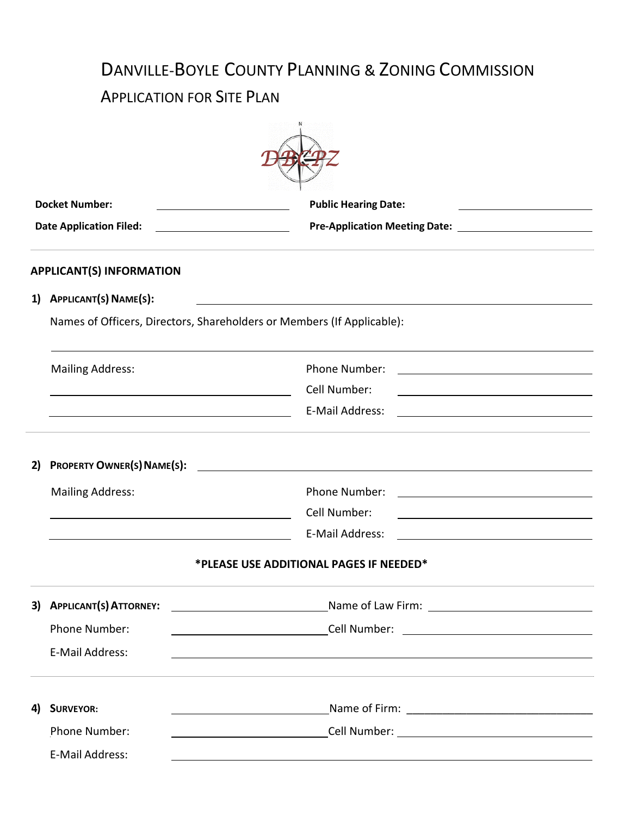## DANVILLE-BOYLE COUNTY PLANNING & ZONING COMMISSION APPLICATION FOR SITE PLAN

|    | <b>Docket Number:</b><br><u> 1989 - Johann Barbara, martin a</u>                                                                                                                                                            | <b>Public Hearing Date:</b>                                                                                                           |  |  |
|----|-----------------------------------------------------------------------------------------------------------------------------------------------------------------------------------------------------------------------------|---------------------------------------------------------------------------------------------------------------------------------------|--|--|
|    | <b>Date Application Filed:</b>                                                                                                                                                                                              |                                                                                                                                       |  |  |
|    | <b>APPLICANT(S) INFORMATION</b>                                                                                                                                                                                             |                                                                                                                                       |  |  |
|    | 1) APPLICANT(S) NAME(S):<br><u> 1989 - Johann Stein, marking and de Britain and de Britain and de Britain and de Britain and de Britain and d</u><br>Names of Officers, Directors, Shareholders or Members (If Applicable): |                                                                                                                                       |  |  |
|    |                                                                                                                                                                                                                             |                                                                                                                                       |  |  |
|    | <b>Mailing Address:</b>                                                                                                                                                                                                     | Phone Number:                                                                                                                         |  |  |
|    | <u> Alexandria de la contrada de la contrada de la contrada de la contrada de la contrada de la contrada de la c</u>                                                                                                        | Cell Number:                                                                                                                          |  |  |
|    | <u> 1980 - Johann Barbara, martin amerikan basar dan berasal dalam basar dalam basar dalam basar dalam basar dala</u>                                                                                                       | E-Mail Address:                                                                                                                       |  |  |
| 2) | <b>PROPERTY OWNER(S) NAME(S):</b>                                                                                                                                                                                           | <u> 1980 - Jan Samuel Barbara, martin di sebagai personal di sebagai personal di sebagai personal di sebagai per</u>                  |  |  |
|    | <b>Mailing Address:</b>                                                                                                                                                                                                     | Phone Number:                                                                                                                         |  |  |
|    |                                                                                                                                                                                                                             | Cell Number:<br><u> 1989 - Johann Barbara, martin amerikan basar dan berasal dan berasal dalam basar dalam basar dalam basar dala</u> |  |  |
|    |                                                                                                                                                                                                                             | E-Mail Address:                                                                                                                       |  |  |
|    |                                                                                                                                                                                                                             | *PLEASE USE ADDITIONAL PAGES IF NEEDED*                                                                                               |  |  |
| 3) | <b>APPLICANT(S) ATTORNEY:</b>                                                                                                                                                                                               | <u> 1980 - Jan James Barnett, fransk politik (d. 1980)</u>                                                                            |  |  |
|    | Phone Number:                                                                                                                                                                                                               |                                                                                                                                       |  |  |
|    | E-Mail Address:                                                                                                                                                                                                             |                                                                                                                                       |  |  |
| 4) | <b>SURVEYOR:</b>                                                                                                                                                                                                            |                                                                                                                                       |  |  |
|    | Phone Number:                                                                                                                                                                                                               | <u> 1980 - Johann Barn, mars an t-Amerikaansk kommunister (</u>                                                                       |  |  |
|    | E-Mail Address:                                                                                                                                                                                                             | <u> 1989 - John Stein, Amerikaansk politiker (</u>                                                                                    |  |  |
|    |                                                                                                                                                                                                                             |                                                                                                                                       |  |  |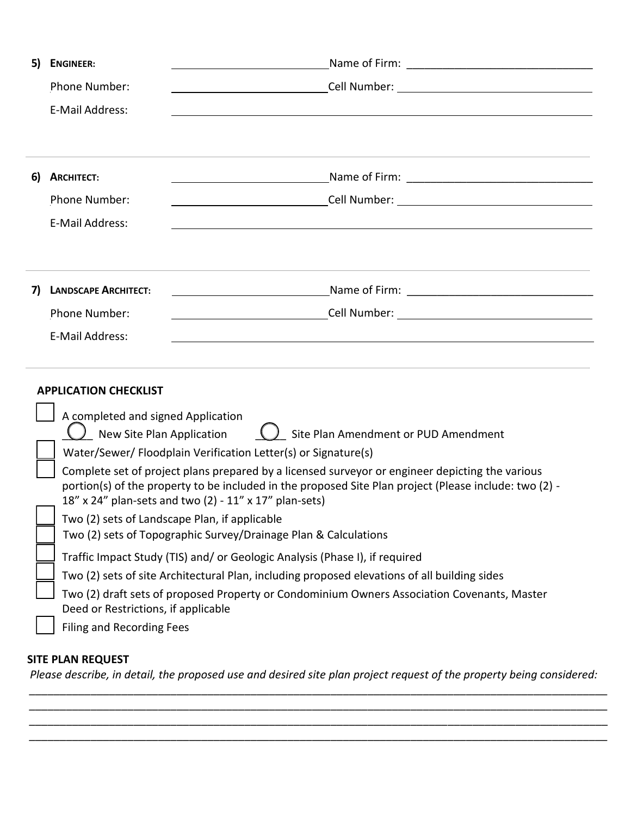| 5)                                                                                                    | <b>ENGINEER:</b>                                                                                        |                                                                                  |  |  |  |  |  |
|-------------------------------------------------------------------------------------------------------|---------------------------------------------------------------------------------------------------------|----------------------------------------------------------------------------------|--|--|--|--|--|
|                                                                                                       | Phone Number:                                                                                           |                                                                                  |  |  |  |  |  |
|                                                                                                       | E-Mail Address:                                                                                         |                                                                                  |  |  |  |  |  |
|                                                                                                       |                                                                                                         |                                                                                  |  |  |  |  |  |
|                                                                                                       |                                                                                                         |                                                                                  |  |  |  |  |  |
| 6)                                                                                                    | <b>ARCHITECT:</b>                                                                                       | <u> 1989 - Johann Barnett, fransk politiker (</u>                                |  |  |  |  |  |
|                                                                                                       | <b>Phone Number:</b>                                                                                    |                                                                                  |  |  |  |  |  |
|                                                                                                       | E-Mail Address:                                                                                         | <u> 1989 - Johann John Stone, mensk politik (f. 1989)</u>                        |  |  |  |  |  |
|                                                                                                       |                                                                                                         |                                                                                  |  |  |  |  |  |
|                                                                                                       |                                                                                                         |                                                                                  |  |  |  |  |  |
| 7)                                                                                                    | <b>LANDSCAPE ARCHITECT:</b>                                                                             |                                                                                  |  |  |  |  |  |
|                                                                                                       | <b>Phone Number:</b>                                                                                    | ________________________________Cell Number: ___________________________________ |  |  |  |  |  |
|                                                                                                       | E-Mail Address:                                                                                         | ,我们也不会有一个人的人,我们也不会有一个人的人,我们也不会有一个人的人。""我们,我们也不会有一个人的人,我们也不会有一个人的人。""我们,我们也不会有一个人 |  |  |  |  |  |
|                                                                                                       |                                                                                                         |                                                                                  |  |  |  |  |  |
|                                                                                                       | <b>APPLICATION CHECKLIST</b>                                                                            |                                                                                  |  |  |  |  |  |
|                                                                                                       |                                                                                                         |                                                                                  |  |  |  |  |  |
|                                                                                                       | A completed and signed Application                                                                      | Site Plan Amendment or PUD Amendment                                             |  |  |  |  |  |
| $\bigcup$ New Site Plan Application<br>Water/Sewer/ Floodplain Verification Letter(s) or Signature(s) |                                                                                                         |                                                                                  |  |  |  |  |  |
|                                                                                                       | Complete set of project plans prepared by a licensed surveyor or engineer depicting the various         |                                                                                  |  |  |  |  |  |
|                                                                                                       | portion(s) of the property to be included in the proposed Site Plan project (Please include: two (2) -  |                                                                                  |  |  |  |  |  |
|                                                                                                       | 18" x 24" plan-sets and two (2) - 11" x 17" plan-sets)<br>Two (2) sets of Landscape Plan, if applicable |                                                                                  |  |  |  |  |  |
|                                                                                                       | Two (2) sets of Topographic Survey/Drainage Plan & Calculations                                         |                                                                                  |  |  |  |  |  |
|                                                                                                       | Traffic Impact Study (TIS) and/ or Geologic Analysis (Phase I), if required                             |                                                                                  |  |  |  |  |  |
| Two (2) sets of site Architectural Plan, including proposed elevations of all building sides          |                                                                                                         |                                                                                  |  |  |  |  |  |
|                                                                                                       | Two (2) draft sets of proposed Property or Condominium Owners Association Covenants, Master             |                                                                                  |  |  |  |  |  |
|                                                                                                       | Deed or Restrictions, if applicable                                                                     |                                                                                  |  |  |  |  |  |
|                                                                                                       | <b>Filing and Recording Fees</b>                                                                        |                                                                                  |  |  |  |  |  |

## **SITE PLAN REQUEST**

*Please describe, in detail, the proposed use and desired site plan project request of the property being considered: \_\_\_\_\_\_\_\_\_\_\_\_\_\_\_\_\_\_\_\_\_\_\_\_\_\_\_\_\_\_\_\_\_\_\_\_\_\_\_\_\_\_\_\_\_\_\_\_\_\_\_\_\_\_\_\_\_\_\_\_\_\_\_\_\_\_\_\_\_\_\_\_\_\_\_\_\_\_\_\_\_\_\_\_\_\_\_\_\_\_\_\_\_\_*

*\_\_\_\_\_\_\_\_\_\_\_\_\_\_\_\_\_\_\_\_\_\_\_\_\_\_\_\_\_\_\_\_\_\_\_\_\_\_\_\_\_\_\_\_\_\_\_\_\_\_\_\_\_\_\_\_\_\_\_\_\_\_\_\_\_\_\_\_\_\_\_\_\_\_\_\_\_\_\_\_\_\_\_\_\_\_\_\_\_\_\_\_\_\_ \_\_\_\_\_\_\_\_\_\_\_\_\_\_\_\_\_\_\_\_\_\_\_\_\_\_\_\_\_\_\_\_\_\_\_\_\_\_\_\_\_\_\_\_\_\_\_\_\_\_\_\_\_\_\_\_\_\_\_\_\_\_\_\_\_\_\_\_\_\_\_\_\_\_\_\_\_\_\_\_\_\_\_\_\_\_\_\_\_\_\_\_\_\_ \_\_\_\_\_\_\_\_\_\_\_\_\_\_\_\_\_\_\_\_\_\_\_\_\_\_\_\_\_\_\_\_\_\_\_\_\_\_\_\_\_\_\_\_\_\_\_\_\_\_\_\_\_\_\_\_\_\_\_\_\_\_\_\_\_\_\_\_\_\_\_\_\_\_\_\_\_\_\_\_\_\_\_\_\_\_\_\_\_\_\_\_\_\_*